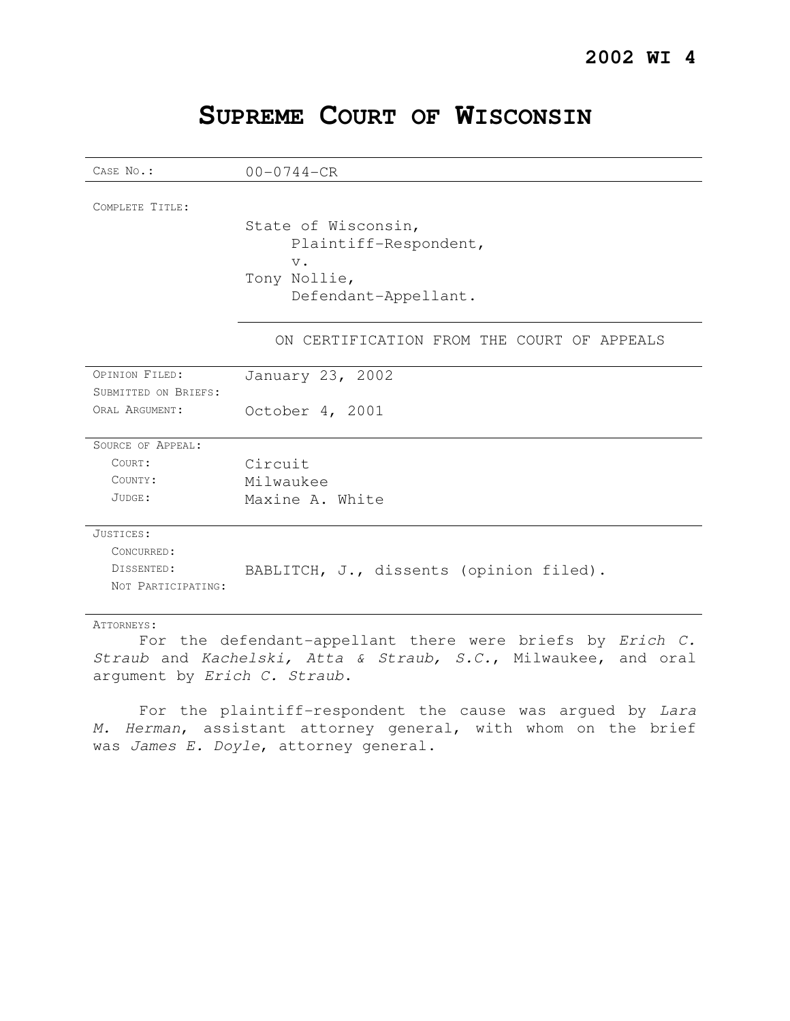# **SUPREME COURT OF WISCONSIN**

| CASE No.:            | $00 - 0744 - CR$                                                                              |
|----------------------|-----------------------------------------------------------------------------------------------|
| COMPLETE TITLE:      | State of Wisconsin,<br>Plaintiff-Respondent,<br>$V$ .<br>Tony Nollie,<br>Defendant-Appellant. |
|                      | ON CERTIFICATION FROM THE COURT OF APPEALS                                                    |
| OPINION FILED:       | January 23, 2002                                                                              |
| SUBMITTED ON BRIEFS: |                                                                                               |
| ORAL ARGUMENT:       | October 4, 2001                                                                               |
| SOURCE OF APPEAL:    |                                                                                               |
| COURT:               | Circuit                                                                                       |
| COUNTY:              | Milwaukee                                                                                     |
| JUDGE:               | Maxine A. White                                                                               |
| JUSTICES:            |                                                                                               |
| CONCURRED:           |                                                                                               |
| DISSENTED:           | BABLITCH, J., dissents (opinion filed).                                                       |
| NOT PARTICIPATING:   |                                                                                               |
| ATTORNEYS:           |                                                                                               |

For the defendant-appellant there were briefs by Erich C. Straub and Kachelski, Atta & Straub, S.C., Milwaukee, and oral argument by Erich C. Straub.

For the plaintiff-respondent the cause was argued by Lara M. Herman, assistant attorney general, with whom on the brief was James E. Doyle, attorney general.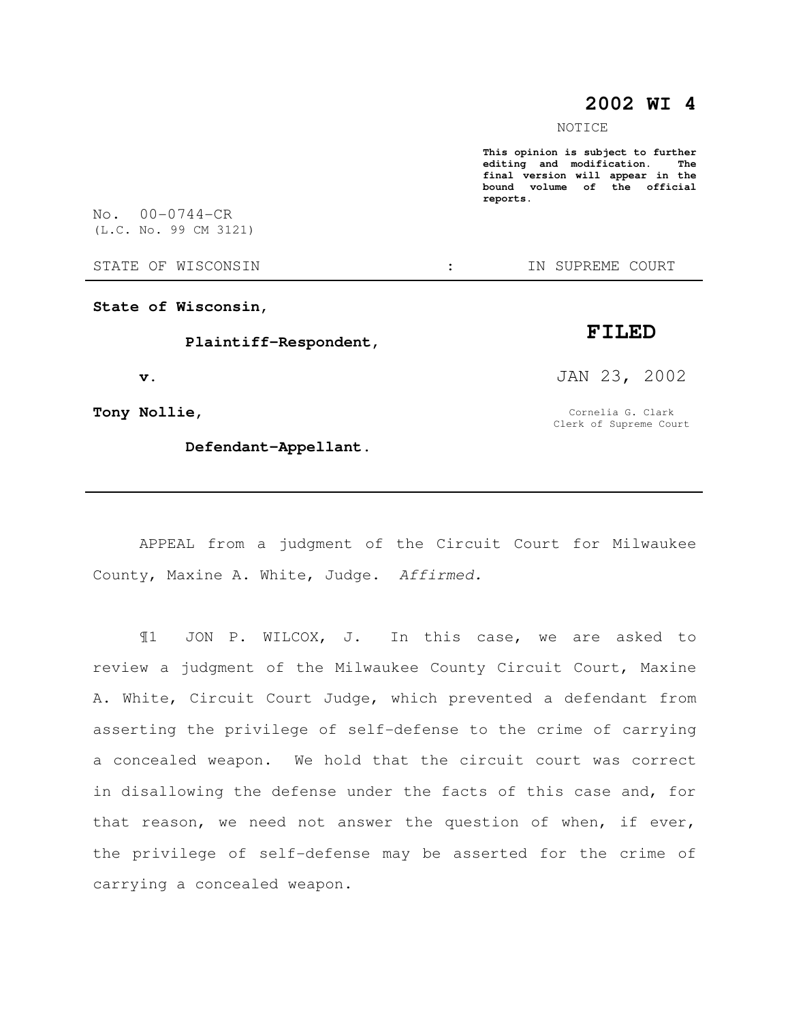## **2002 WI 4**

NOTICE

**This opinion is subject to further editing** and modification. **final version will appear in the bound volume of the official reports.** 

No. 00-0744-CR (L.C. No. 99 CM 3121)

STATE OF WISCONSIN  $\cdot$   $\cdot$  in Supreme court

**State of Wisconsin,** 

 **Plaintiff-Respondent,** 

 **v.** 

**Tony Nollie,** 

 **Defendant-Appellant.** 

JAN 23, 2002

**FILED** 

Cornelia G. Clark Clerk of Supreme Court

APPEAL from a judgment of the Circuit Court for Milwaukee County, Maxine A. White, Judge. Affirmed.

¶1 JON P. WILCOX, J. In this case, we are asked to review a judgment of the Milwaukee County Circuit Court, Maxine A. White, Circuit Court Judge, which prevented a defendant from asserting the privilege of self-defense to the crime of carrying a concealed weapon. We hold that the circuit court was correct in disallowing the defense under the facts of this case and, for that reason, we need not answer the question of when, if ever, the privilege of self-defense may be asserted for the crime of carrying a concealed weapon.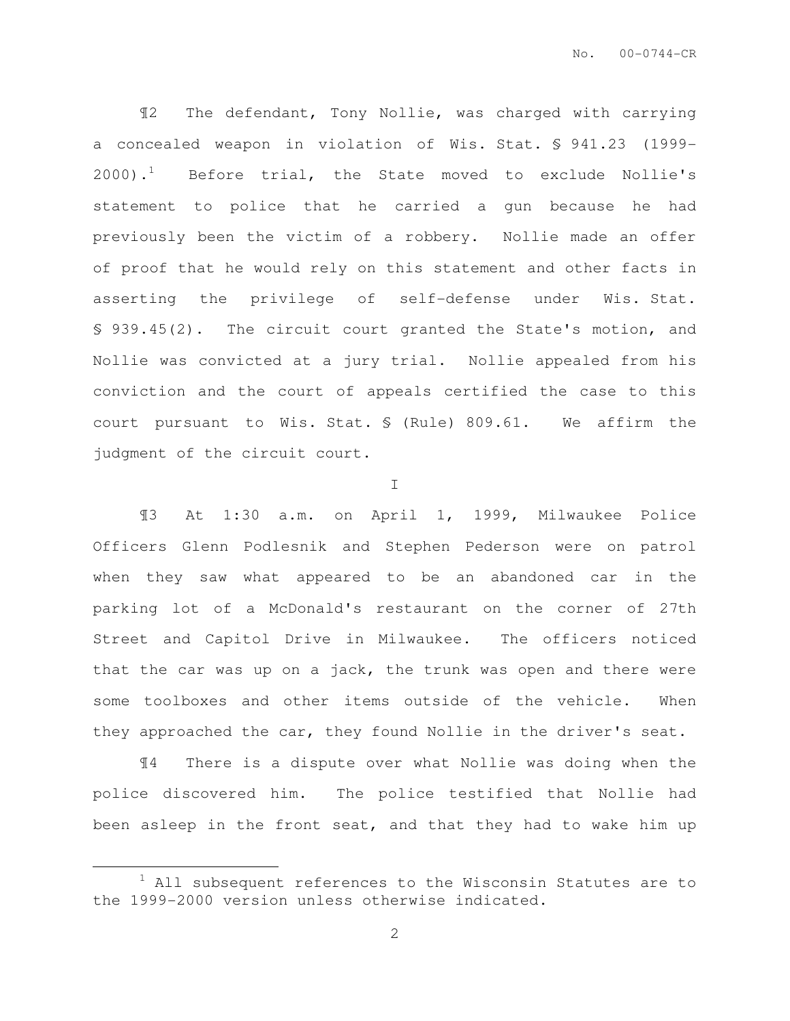¶2 The defendant, Tony Nollie, was charged with carrying a concealed weapon in violation of Wis. Stat. § 941.23 (1999-  $2000$ ).<sup>1</sup> Before trial, the State moved to exclude Nollie's statement to police that he carried a gun because he had previously been the victim of a robbery. Nollie made an offer of proof that he would rely on this statement and other facts in asserting the privilege of self-defense under Wis. Stat. § 939.45(2). The circuit court granted the State's motion, and Nollie was convicted at a jury trial. Nollie appealed from his conviction and the court of appeals certified the case to this court pursuant to Wis. Stat. § (Rule) 809.61. We affirm the judgment of the circuit court.

I

¶3 At 1:30 a.m. on April 1, 1999, Milwaukee Police Officers Glenn Podlesnik and Stephen Pederson were on patrol when they saw what appeared to be an abandoned car in the parking lot of a McDonald's restaurant on the corner of 27th Street and Capitol Drive in Milwaukee. The officers noticed that the car was up on a jack, the trunk was open and there were some toolboxes and other items outside of the vehicle. When they approached the car, they found Nollie in the driver's seat.

¶4 There is a dispute over what Nollie was doing when the police discovered him. The police testified that Nollie had been asleep in the front seat, and that they had to wake him up

 $\overline{a}$ 

 $1$  All subsequent references to the Wisconsin Statutes are to the 1999-2000 version unless otherwise indicated.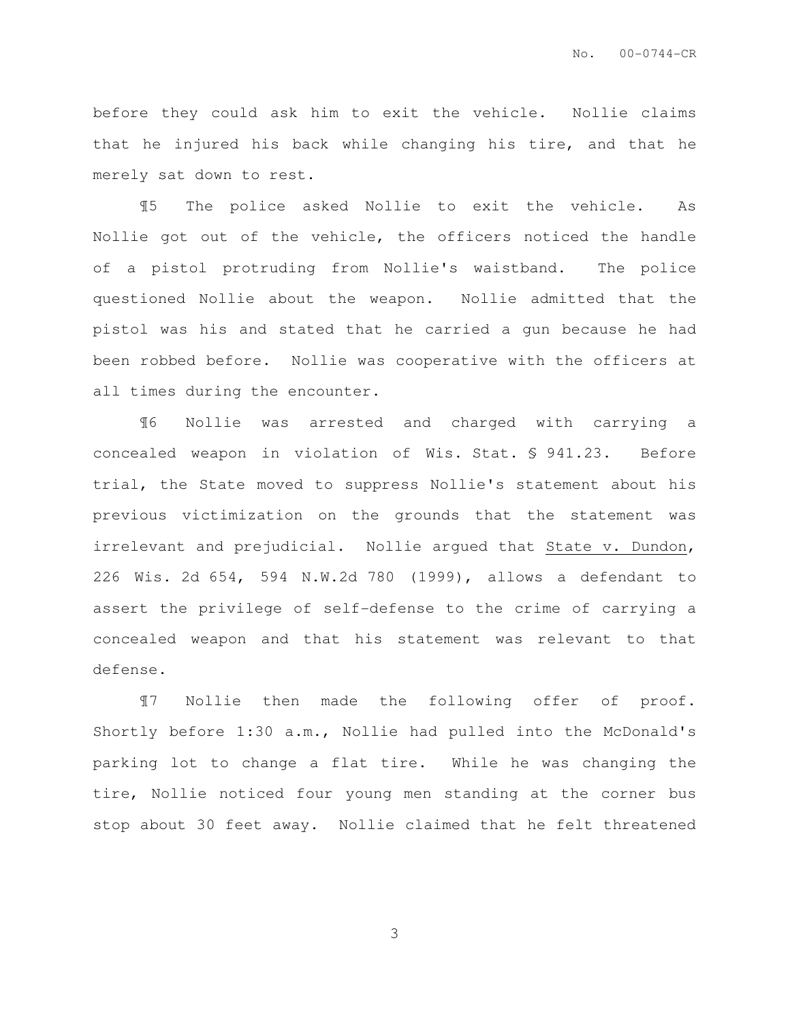before they could ask him to exit the vehicle. Nollie claims that he injured his back while changing his tire, and that he merely sat down to rest.

¶5 The police asked Nollie to exit the vehicle. As Nollie got out of the vehicle, the officers noticed the handle of a pistol protruding from Nollie's waistband. The police questioned Nollie about the weapon. Nollie admitted that the pistol was his and stated that he carried a gun because he had been robbed before. Nollie was cooperative with the officers at all times during the encounter.

¶6 Nollie was arrested and charged with carrying a concealed weapon in violation of Wis. Stat. § 941.23. Before trial, the State moved to suppress Nollie's statement about his previous victimization on the grounds that the statement was irrelevant and prejudicial. Nollie argued that State v. Dundon, 226 Wis. 2d 654, 594 N.W.2d 780 (1999), allows a defendant to assert the privilege of self-defense to the crime of carrying a concealed weapon and that his statement was relevant to that defense.

¶7 Nollie then made the following offer of proof. Shortly before 1:30 a.m., Nollie had pulled into the McDonald's parking lot to change a flat tire. While he was changing the tire, Nollie noticed four young men standing at the corner bus stop about 30 feet away. Nollie claimed that he felt threatened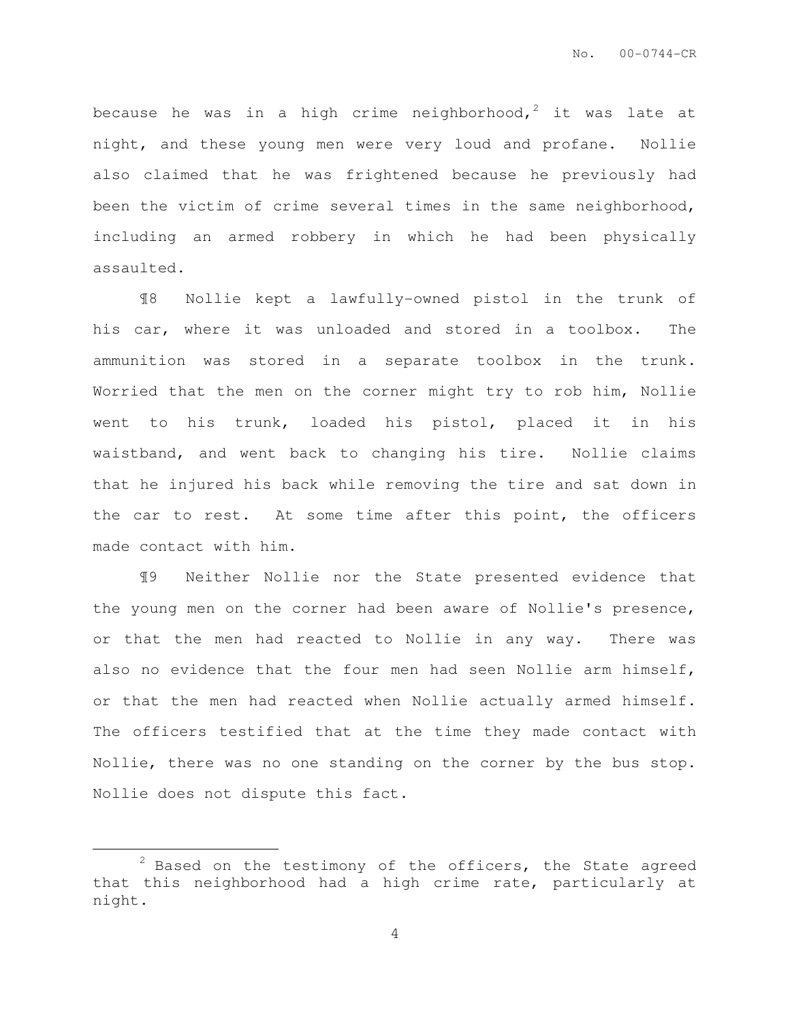because he was in a high crime neighborhood,<sup>2</sup> it was late at night, and these young men were very loud and profane. Nollie also claimed that he was frightened because he previously had been the victim of crime several times in the same neighborhood, including an armed robbery in which he had been physically assaulted.

¶8 Nollie kept a lawfully-owned pistol in the trunk of his car, where it was unloaded and stored in a toolbox. The ammunition was stored in a separate toolbox in the trunk. Worried that the men on the corner might try to rob him, Nollie went to his trunk, loaded his pistol, placed it in his waistband, and went back to changing his tire. Nollie claims that he injured his back while removing the tire and sat down in the car to rest. At some time after this point, the officers made contact with him.

¶9 Neither Nollie nor the State presented evidence that the young men on the corner had been aware of Nollie's presence, or that the men had reacted to Nollie in any way. There was also no evidence that the four men had seen Nollie arm himself, or that the men had reacted when Nollie actually armed himself. The officers testified that at the time they made contact with Nollie, there was no one standing on the corner by the bus stop. Nollie does not dispute this fact.

 $\overline{a}$ 

 $2$  Based on the testimony of the officers, the State agreed that this neighborhood had a high crime rate, particularly at night.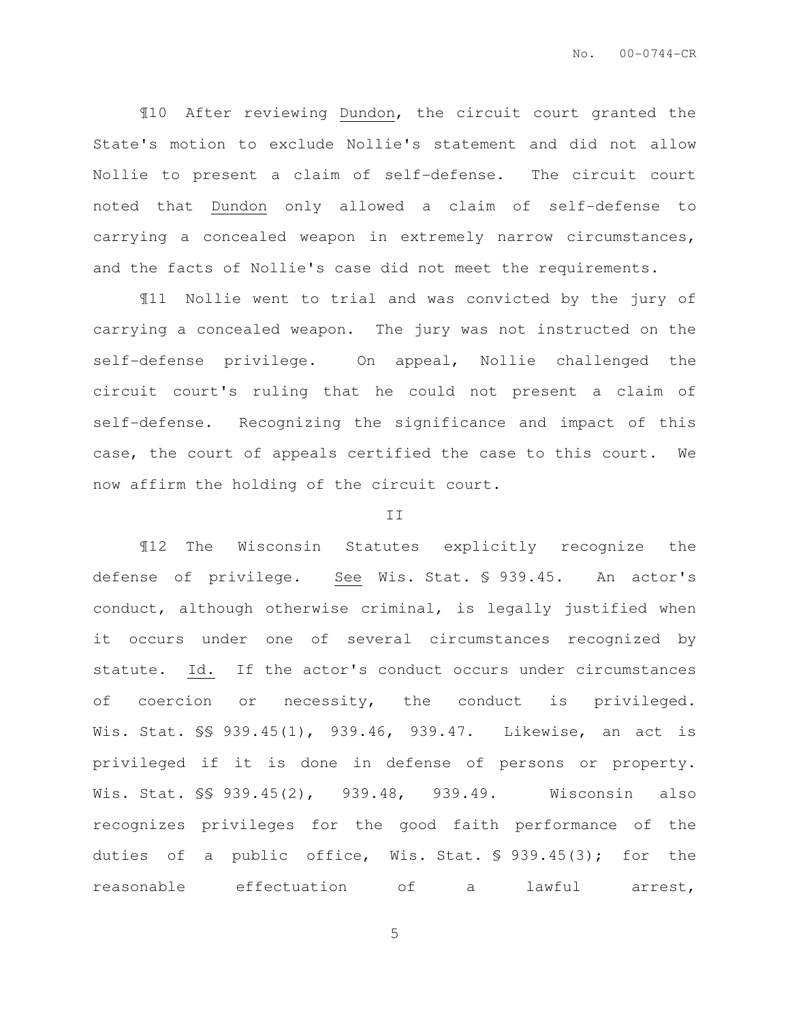¶10 After reviewing Dundon, the circuit court granted the State's motion to exclude Nollie's statement and did not allow Nollie to present a claim of self-defense. The circuit court noted that Dundon only allowed a claim of self-defense to carrying a concealed weapon in extremely narrow circumstances, and the facts of Nollie's case did not meet the requirements.

¶11 Nollie went to trial and was convicted by the jury of carrying a concealed weapon. The jury was not instructed on the self-defense privilege. On appeal, Nollie challenged the circuit court's ruling that he could not present a claim of self-defense. Recognizing the significance and impact of this case, the court of appeals certified the case to this court. We now affirm the holding of the circuit court.

#### II

¶12 The Wisconsin Statutes explicitly recognize the defense of privilege. See Wis. Stat. § 939.45. An actor's conduct, although otherwise criminal, is legally justified when it occurs under one of several circumstances recognized by statute. Id. If the actor's conduct occurs under circumstances of coercion or necessity, the conduct is privileged. Wis. Stat. §§ 939.45(1), 939.46, 939.47. Likewise, an act is privileged if it is done in defense of persons or property. Wis. Stat. §§ 939.45(2), 939.48, 939.49. Wisconsin also recognizes privileges for the good faith performance of the duties of a public office, Wis. Stat. § 939.45(3); for the reasonable effectuation of a lawful arrest,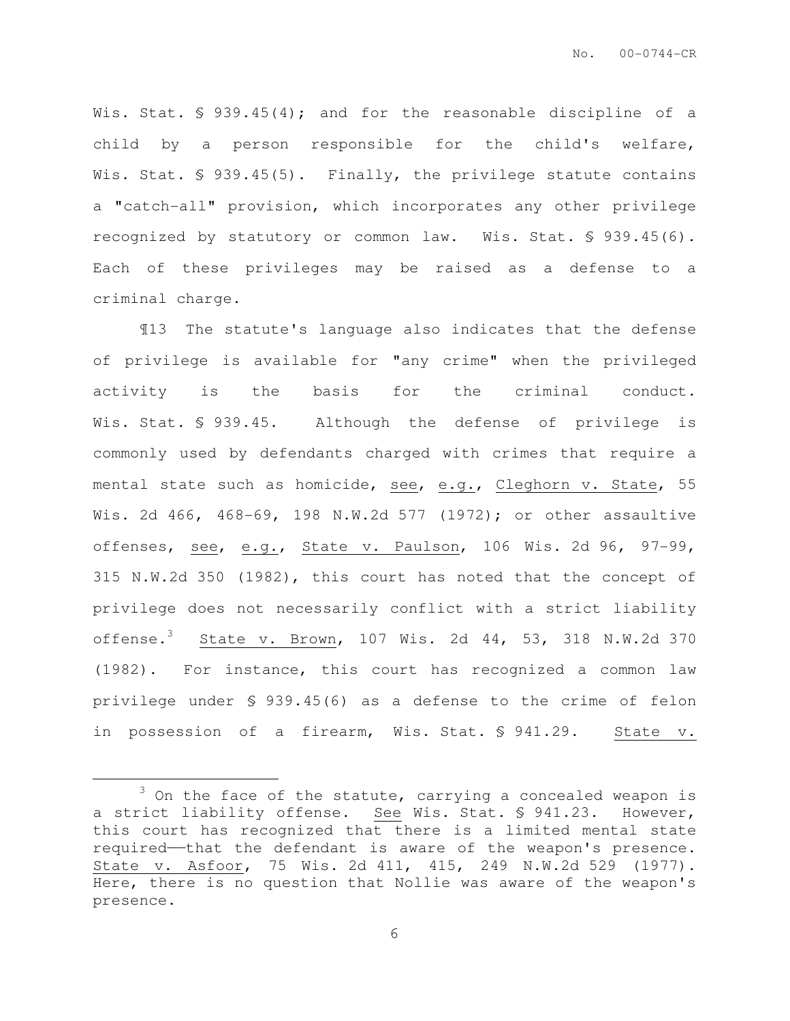Wis. Stat. § 939.45(4); and for the reasonable discipline of a child by a person responsible for the child's welfare, Wis. Stat. § 939.45(5). Finally, the privilege statute contains a "catch-all" provision, which incorporates any other privilege recognized by statutory or common law. Wis. Stat. § 939.45(6). Each of these privileges may be raised as a defense to a criminal charge.

¶13 The statute's language also indicates that the defense of privilege is available for "any crime" when the privileged activity is the basis for the criminal conduct. Wis. Stat. § 939.45. Although the defense of privilege is commonly used by defendants charged with crimes that require a mental state such as homicide, see, e.g., Cleghorn v. State, 55 Wis. 2d 466, 468-69, 198 N.W.2d 577 (1972); or other assaultive offenses, see, e.g., State v. Paulson, 106 Wis. 2d 96, 97-99, 315 N.W.2d 350 (1982), this court has noted that the concept of privilege does not necessarily conflict with a strict liability offense.<sup>3</sup> State v. Brown, 107 Wis. 2d 44, 53, 318 N.W.2d 370 (1982). For instance, this court has recognized a common law privilege under § 939.45(6) as a defense to the crime of felon in possession of a firearm, Wis. Stat. § 941.29. State v.

 $\overline{a}$ 

 $3$  On the face of the statute, carrying a concealed weapon is a strict liability offense. See Wis. Stat. § 941.23. However, this court has recognized that there is a limited mental state required——that the defendant is aware of the weapon's presence. State v. Asfoor, 75 Wis. 2d 411, 415, 249 N.W.2d 529 (1977). Here, there is no question that Nollie was aware of the weapon's presence.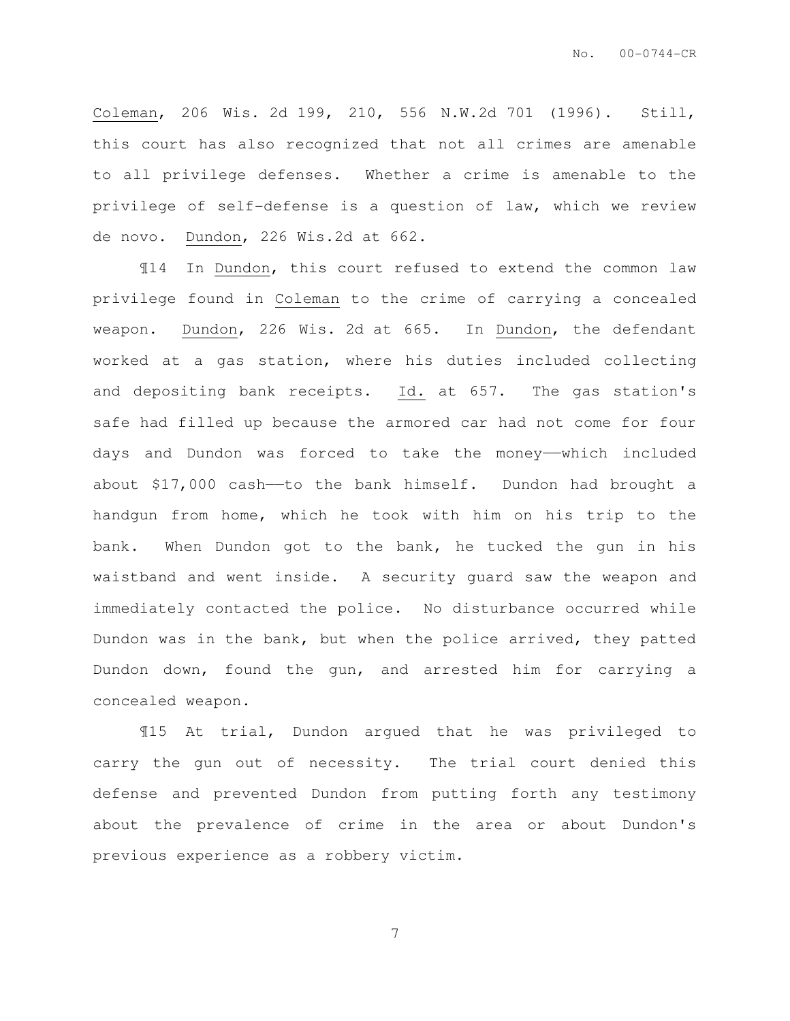Coleman, 206 Wis. 2d 199, 210, 556 N.W.2d 701 (1996). Still, this court has also recognized that not all crimes are amenable to all privilege defenses. Whether a crime is amenable to the privilege of self-defense is a question of law, which we review de novo. Dundon, 226 Wis.2d at 662.

¶14 In Dundon, this court refused to extend the common law privilege found in Coleman to the crime of carrying a concealed weapon. Dundon, 226 Wis. 2d at 665. In Dundon, the defendant worked at a gas station, where his duties included collecting and depositing bank receipts. Id. at 657. The gas station's safe had filled up because the armored car had not come for four days and Dundon was forced to take the money——which included about  $$17,000$  cash—to the bank himself. Dundon had brought a handgun from home, which he took with him on his trip to the bank. When Dundon got to the bank, he tucked the gun in his waistband and went inside. A security guard saw the weapon and immediately contacted the police. No disturbance occurred while Dundon was in the bank, but when the police arrived, they patted Dundon down, found the gun, and arrested him for carrying a concealed weapon.

¶15 At trial, Dundon argued that he was privileged to carry the gun out of necessity. The trial court denied this defense and prevented Dundon from putting forth any testimony about the prevalence of crime in the area or about Dundon's previous experience as a robbery victim.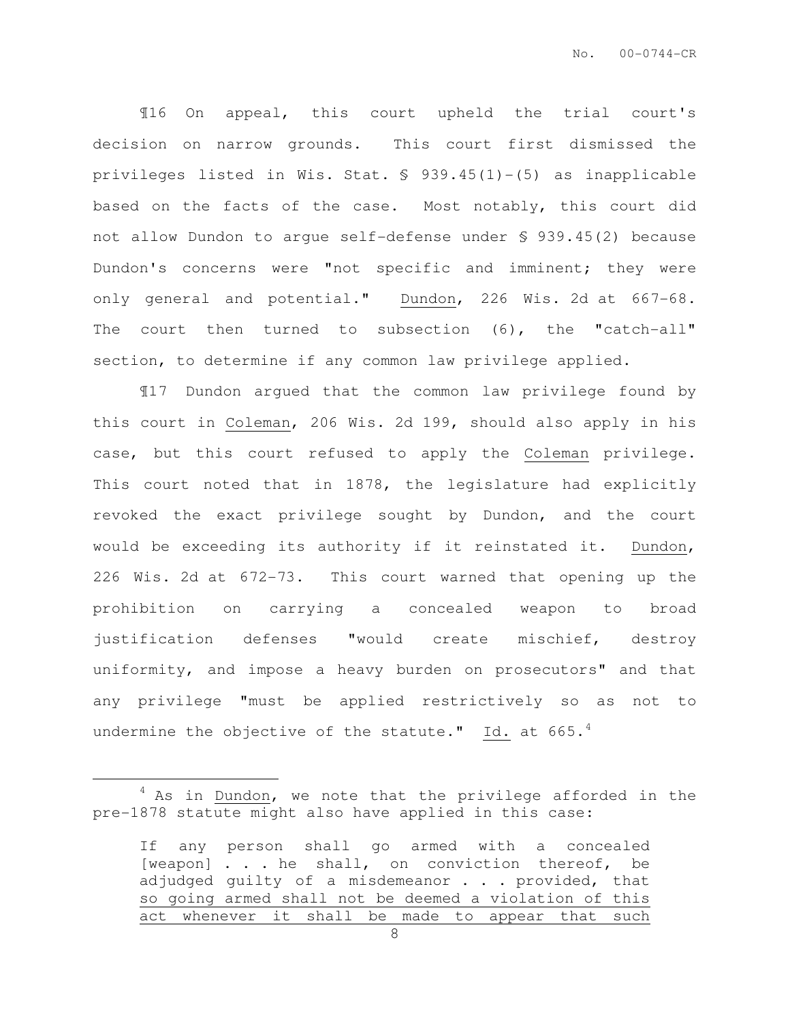¶16 On appeal, this court upheld the trial court's decision on narrow grounds. This court first dismissed the privileges listed in Wis. Stat. § 939.45(1)-(5) as inapplicable based on the facts of the case. Most notably, this court did not allow Dundon to argue self-defense under § 939.45(2) because Dundon's concerns were "not specific and imminent; they were only general and potential." Dundon, 226 Wis. 2d at 667-68. The court then turned to subsection (6), the "catch-all" section, to determine if any common law privilege applied.

¶17 Dundon argued that the common law privilege found by this court in Coleman, 206 Wis. 2d 199, should also apply in his case, but this court refused to apply the Coleman privilege. This court noted that in 1878, the legislature had explicitly revoked the exact privilege sought by Dundon, and the court would be exceeding its authority if it reinstated it. Dundon, 226 Wis. 2d at 672-73. This court warned that opening up the prohibition on carrying a concealed weapon to broad justification defenses "would create mischief, destroy uniformity, and impose a heavy burden on prosecutors" and that any privilege "must be applied restrictively so as not to undermine the objective of the statute." Id. at  $665.^4$ 

 $\overline{a}$ 

 $4$  As in Dundon, we note that the privilege afforded in the pre-1878 statute might also have applied in this case:

If any person shall go armed with a concealed [weapon] . . . he shall, on conviction thereof, be adjudged quilty of a misdemeanor . . . provided, that so going armed shall not be deemed a violation of this act whenever it shall be made to appear that such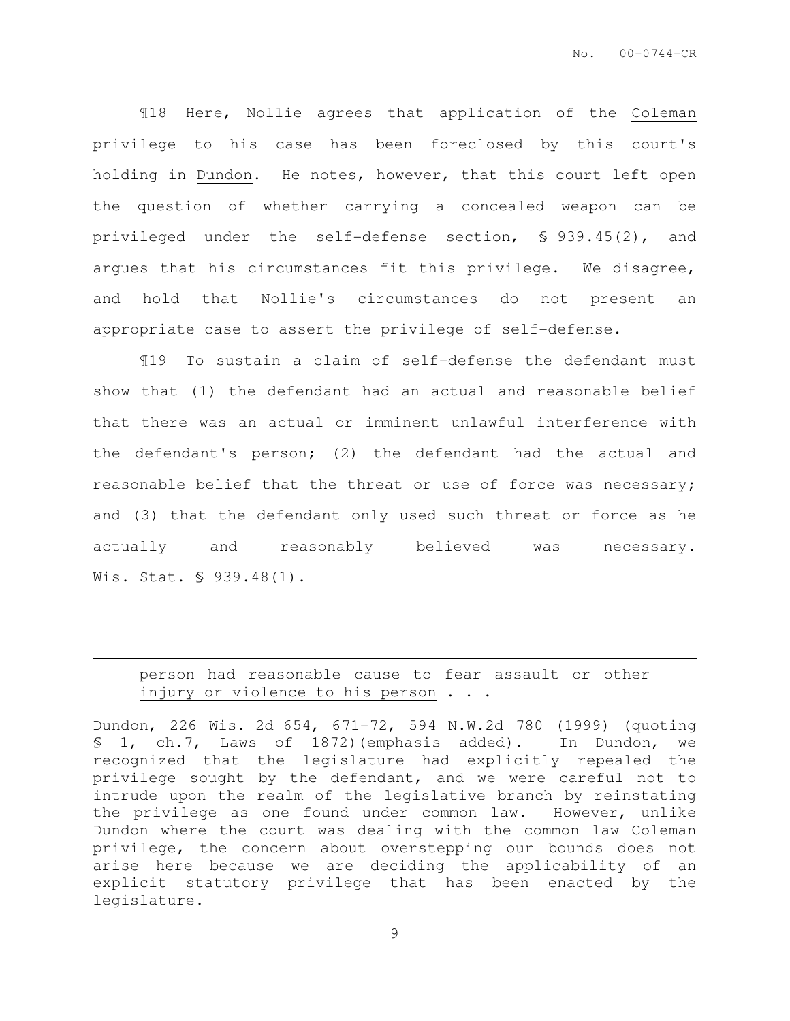¶18 Here, Nollie agrees that application of the Coleman privilege to his case has been foreclosed by this court's holding in Dundon. He notes, however, that this court left open the question of whether carrying a concealed weapon can be privileged under the self-defense section, § 939.45(2), and argues that his circumstances fit this privilege. We disagree, and hold that Nollie's circumstances do not present an appropriate case to assert the privilege of self-defense.

¶19 To sustain a claim of self-defense the defendant must show that (1) the defendant had an actual and reasonable belief that there was an actual or imminent unlawful interference with the defendant's person; (2) the defendant had the actual and reasonable belief that the threat or use of force was necessary; and (3) that the defendant only used such threat or force as he actually and reasonably believed was necessary. Wis. Stat. § 939.48(1).

### person had reasonable cause to fear assault or other injury or violence to his person . . .

 $\overline{a}$ 

Dundon, 226 Wis. 2d 654, 671-72, 594 N.W.2d 780 (1999) (quoting § 1, ch.7, Laws of 1872)(emphasis added). In Dundon, we recognized that the legislature had explicitly repealed the privilege sought by the defendant, and we were careful not to intrude upon the realm of the legislative branch by reinstating the privilege as one found under common law. However, unlike Dundon where the court was dealing with the common law Coleman privilege, the concern about overstepping our bounds does not arise here because we are deciding the applicability of an explicit statutory privilege that has been enacted by the legislature.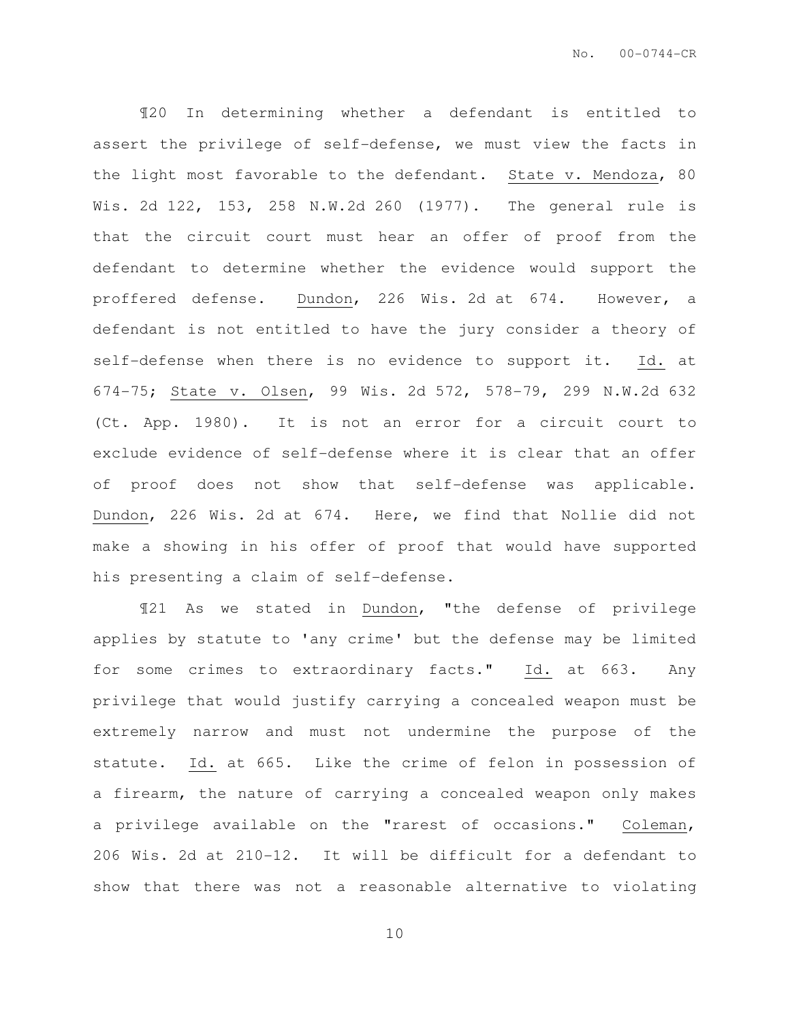¶20 In determining whether a defendant is entitled to assert the privilege of self-defense, we must view the facts in the light most favorable to the defendant. State v. Mendoza, 80 Wis. 2d 122, 153, 258 N.W.2d 260 (1977). The general rule is that the circuit court must hear an offer of proof from the defendant to determine whether the evidence would support the proffered defense. Dundon, 226 Wis. 2d at 674. However, a defendant is not entitled to have the jury consider a theory of self-defense when there is no evidence to support it. Id. at 674-75; State v. Olsen, 99 Wis. 2d 572, 578-79, 299 N.W.2d 632 (Ct. App. 1980). It is not an error for a circuit court to exclude evidence of self-defense where it is clear that an offer of proof does not show that self-defense was applicable. Dundon, 226 Wis. 2d at 674. Here, we find that Nollie did not make a showing in his offer of proof that would have supported his presenting a claim of self-defense.

¶21 As we stated in Dundon, "the defense of privilege applies by statute to 'any crime' but the defense may be limited for some crimes to extraordinary facts." Id. at 663. Any privilege that would justify carrying a concealed weapon must be extremely narrow and must not undermine the purpose of the statute. Id. at 665. Like the crime of felon in possession of a firearm, the nature of carrying a concealed weapon only makes a privilege available on the "rarest of occasions." Coleman, 206 Wis. 2d at 210-12. It will be difficult for a defendant to show that there was not a reasonable alternative to violating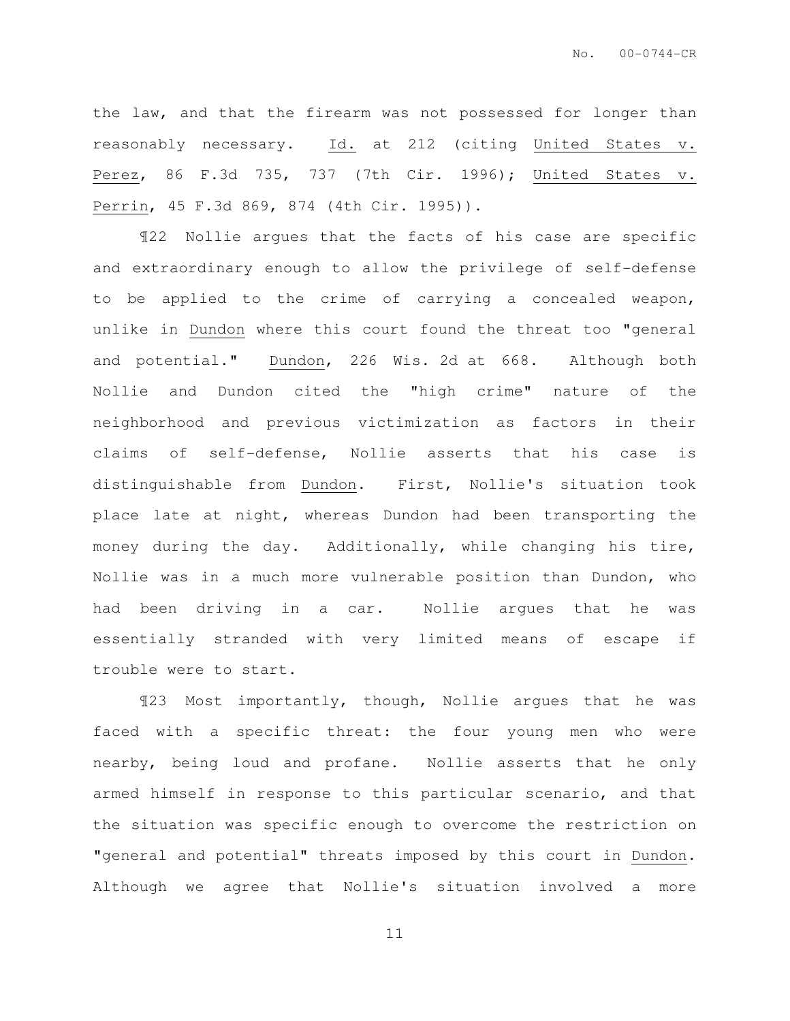the law, and that the firearm was not possessed for longer than reasonably necessary. Id. at 212 (citing United States v. Perez, 86 F.3d 735, 737 (7th Cir. 1996); United States v. Perrin, 45 F.3d 869, 874 (4th Cir. 1995)).

¶22 Nollie argues that the facts of his case are specific and extraordinary enough to allow the privilege of self-defense to be applied to the crime of carrying a concealed weapon, unlike in Dundon where this court found the threat too "general and potential." Dundon, 226 Wis. 2d at 668. Although both Nollie and Dundon cited the "high crime" nature of the neighborhood and previous victimization as factors in their claims of self-defense, Nollie asserts that his case is distinguishable from Dundon. First, Nollie's situation took place late at night, whereas Dundon had been transporting the money during the day. Additionally, while changing his tire, Nollie was in a much more vulnerable position than Dundon, who had been driving in a car. Nollie argues that he was essentially stranded with very limited means of escape if trouble were to start.

¶23 Most importantly, though, Nollie argues that he was faced with a specific threat: the four young men who were nearby, being loud and profane. Nollie asserts that he only armed himself in response to this particular scenario, and that the situation was specific enough to overcome the restriction on "general and potential" threats imposed by this court in Dundon. Although we agree that Nollie's situation involved a more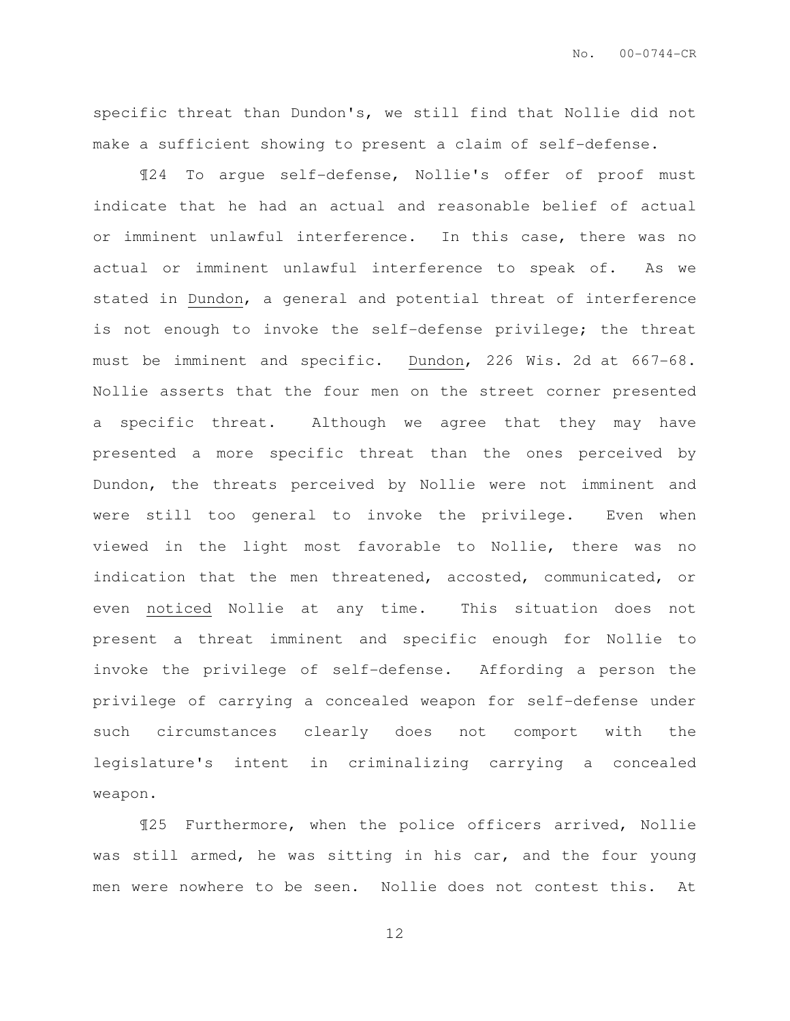specific threat than Dundon's, we still find that Nollie did not make a sufficient showing to present a claim of self-defense.

¶24 To argue self-defense, Nollie's offer of proof must indicate that he had an actual and reasonable belief of actual or imminent unlawful interference. In this case, there was no actual or imminent unlawful interference to speak of. As we stated in Dundon, a general and potential threat of interference is not enough to invoke the self-defense privilege; the threat must be imminent and specific. Dundon, 226 Wis. 2d at 667-68. Nollie asserts that the four men on the street corner presented a specific threat. Although we agree that they may have presented a more specific threat than the ones perceived by Dundon, the threats perceived by Nollie were not imminent and were still too general to invoke the privilege. Even when viewed in the light most favorable to Nollie, there was no indication that the men threatened, accosted, communicated, or even noticed Nollie at any time. This situation does not present a threat imminent and specific enough for Nollie to invoke the privilege of self-defense. Affording a person the privilege of carrying a concealed weapon for self-defense under such circumstances clearly does not comport with the legislature's intent in criminalizing carrying a concealed weapon.

¶25 Furthermore, when the police officers arrived, Nollie was still armed, he was sitting in his car, and the four young men were nowhere to be seen. Nollie does not contest this. At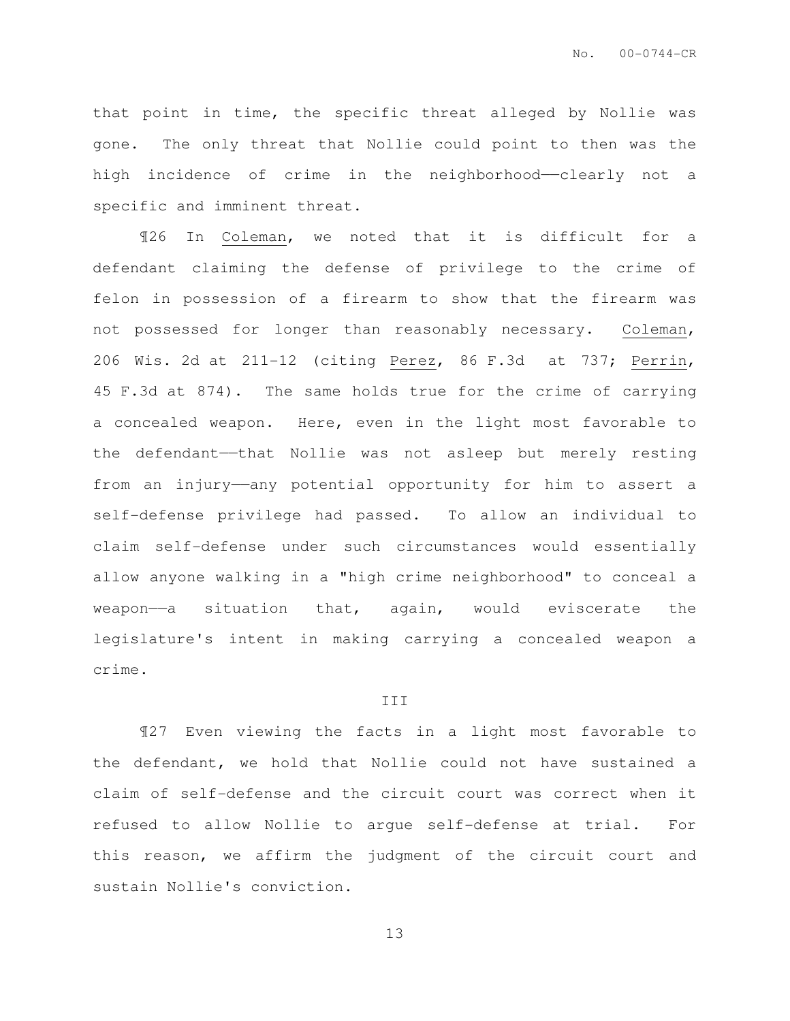that point in time, the specific threat alleged by Nollie was gone. The only threat that Nollie could point to then was the high incidence of crime in the neighborhood—clearly not a specific and imminent threat.

¶26 In Coleman, we noted that it is difficult for a defendant claiming the defense of privilege to the crime of felon in possession of a firearm to show that the firearm was not possessed for longer than reasonably necessary. Coleman, 206 Wis. 2d at 211-12 (citing Perez, 86 F.3d at 737; Perrin, 45 F.3d at 874). The same holds true for the crime of carrying a concealed weapon. Here, even in the light most favorable to the defendant—that Nollie was not asleep but merely resting from an injury——any potential opportunity for him to assert a self-defense privilege had passed. To allow an individual to claim self-defense under such circumstances would essentially allow anyone walking in a "high crime neighborhood" to conceal a weapon—a situation that, again, would eviscerate the legislature's intent in making carrying a concealed weapon a crime.

#### III

¶27 Even viewing the facts in a light most favorable to the defendant, we hold that Nollie could not have sustained a claim of self-defense and the circuit court was correct when it refused to allow Nollie to argue self-defense at trial. For this reason, we affirm the judgment of the circuit court and sustain Nollie's conviction.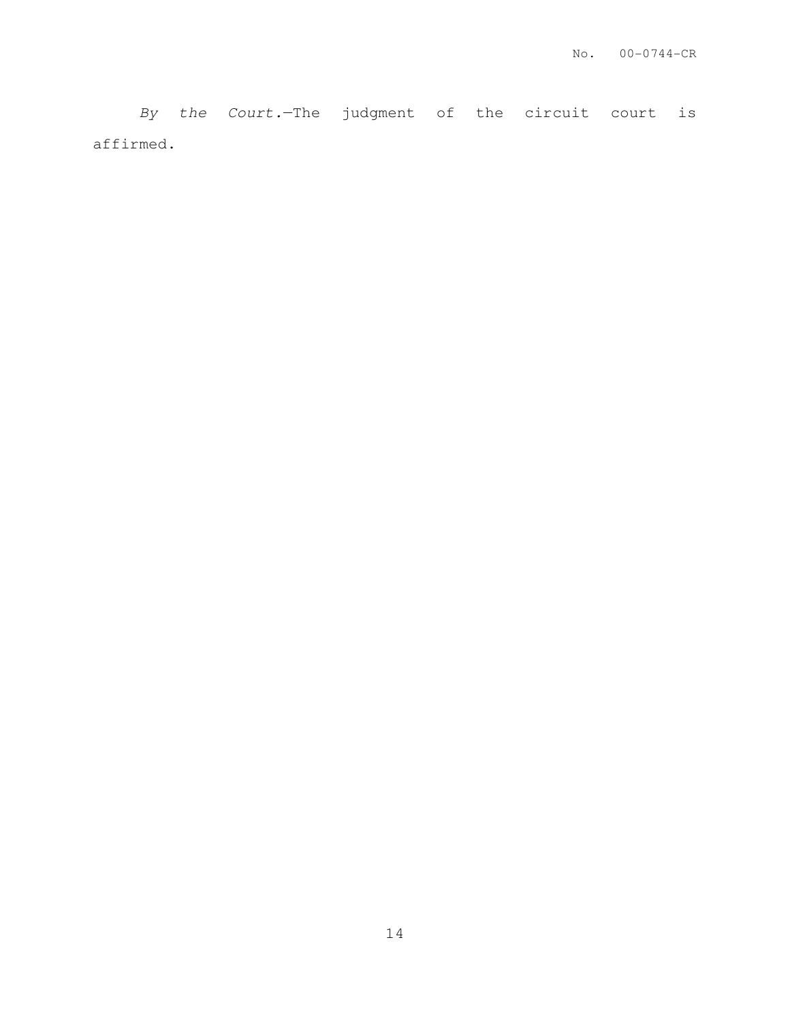By the Court.—The judgment of the circuit court is affirmed.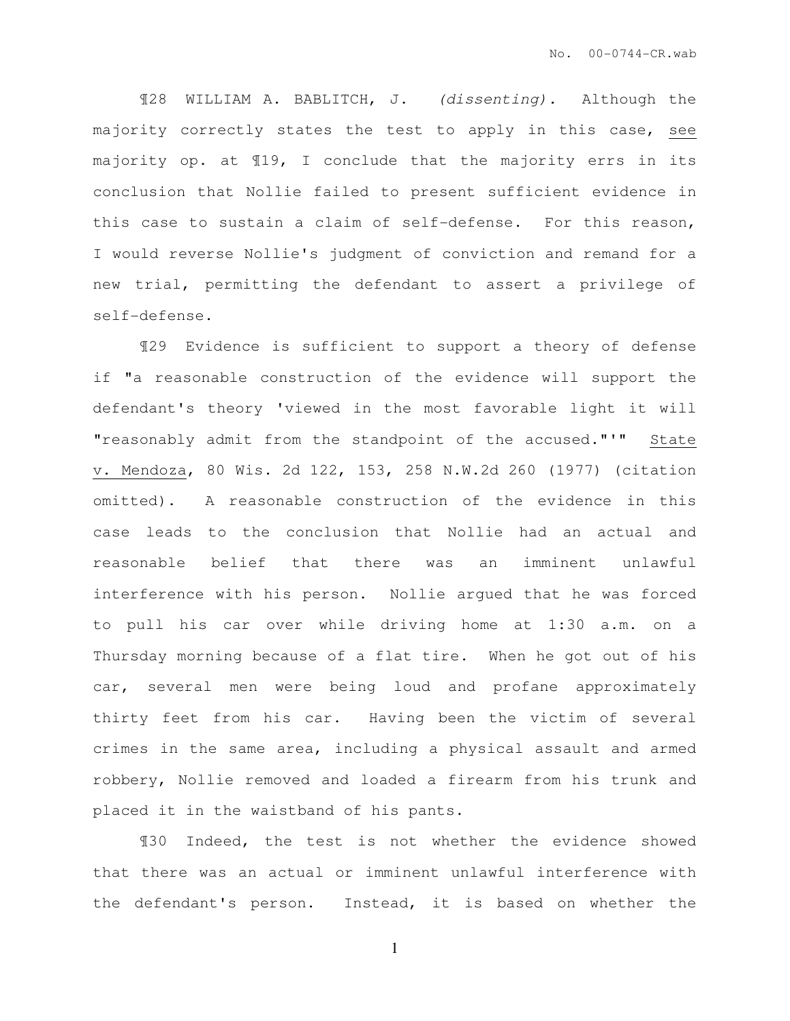¶28 WILLIAM A. BABLITCH, J. (dissenting). Although the majority correctly states the test to apply in this case, see majority op. at ¶19, I conclude that the majority errs in its conclusion that Nollie failed to present sufficient evidence in this case to sustain a claim of self-defense. For this reason, I would reverse Nollie's judgment of conviction and remand for a new trial, permitting the defendant to assert a privilege of self-defense.

¶29 Evidence is sufficient to support a theory of defense if "a reasonable construction of the evidence will support the defendant's theory 'viewed in the most favorable light it will "reasonably admit from the standpoint of the accused."'" State v. Mendoza, 80 Wis. 2d 122, 153, 258 N.W.2d 260 (1977) (citation omitted). A reasonable construction of the evidence in this case leads to the conclusion that Nollie had an actual and reasonable belief that there was an imminent unlawful interference with his person. Nollie argued that he was forced to pull his car over while driving home at 1:30 a.m. on a Thursday morning because of a flat tire. When he got out of his car, several men were being loud and profane approximately thirty feet from his car. Having been the victim of several crimes in the same area, including a physical assault and armed robbery, Nollie removed and loaded a firearm from his trunk and placed it in the waistband of his pants.

¶30 Indeed, the test is not whether the evidence showed that there was an actual or imminent unlawful interference with the defendant's person. Instead, it is based on whether the